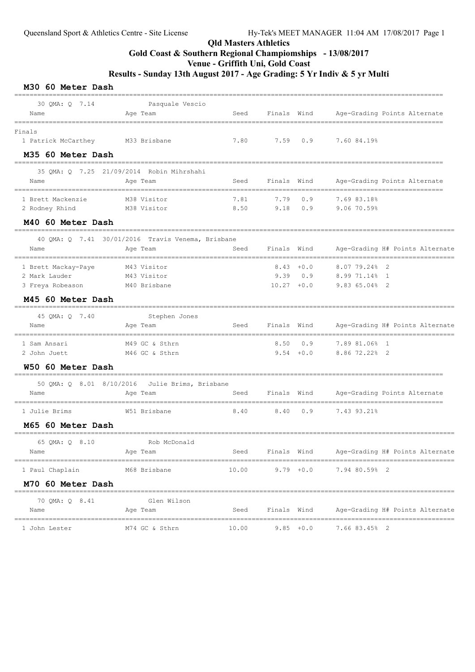# Qld Masters Athletics Gold Coast & Southern Regional Champiomships - 13/08/2017

# Venue - Griffith Uni, Gold Coast

Results - Sunday 13th August 2017 - Age Grading: 5 Yr Indiv & 5 yr Multi

M30 60 Meter Dash

| 30 QMA: Q 7.14                   | Pasquale Vescio                                   |                          |               |              |                                                                     |
|----------------------------------|---------------------------------------------------|--------------------------|---------------|--------------|---------------------------------------------------------------------|
| Name                             | Age Team                                          | Seed                     | Finals Wind   |              | Age-Grading Points Alternate                                        |
| Finals                           |                                                   |                          |               |              |                                                                     |
| 1 Patrick McCarthey M33 Brisbane |                                                   | 7.80                     | 7.59          | 0.9          | 7.60 84.19%                                                         |
| M35 60 Meter Dash                |                                                   |                          |               |              |                                                                     |
|                                  | 35 OMA: Q 7.25 21/09/2014 Robin Mihrshahi         |                          |               |              |                                                                     |
| Name                             | Age Team                                          | Seed                     | Finals Wind   |              | Age-Grading Points Alternate                                        |
| 1 Brett Mackenzie                | M38 Visitor                                       | 7.81                     | 7.79          | 0.9          | 7.69 83.18%                                                         |
| 2 Rodney Rhind                   | M38 Visitor                                       | 8.50                     | 9.18          | 0.9          | 9.06 70.59%                                                         |
| M40 60 Meter Dash                |                                                   |                          |               |              |                                                                     |
|                                  | 40 QMA: Q 7.41 30/01/2016 Travis Venema, Brisbane |                          |               |              |                                                                     |
| Name                             | Age Team                                          | Seed                     | Finals Wind   |              | Age-Grading H# Points Alternate                                     |
| 1 Brett Mackay-Paye              | M43 Visitor                                       |                          |               | $8.43 + 0.0$ | 8.07 79.24% 2                                                       |
| 2 Mark Lauder                    | M43 Visitor                                       |                          | 9.39          | 0.9          | 8.99 71.14% 1                                                       |
| 3 Freya Robeason                 | M40 Brisbane                                      |                          | $10.27 + 0.0$ |              | 9.83 65.04% 2                                                       |
| M45 60 Meter Dash                |                                                   |                          |               |              |                                                                     |
| 45 QMA: Q 7.40                   | Stephen Jones                                     |                          |               |              |                                                                     |
| Name                             | Age Team                                          | Seed                     | Finals Wind   |              | Age-Grading H# Points Alternate                                     |
| 1 Sam Ansari                     | M49 GC & Sthrn                                    |                          | 8.50          | 0.9          | 7.89 81.06% 1                                                       |
| 2 John Juett                     | M46 GC & Sthrn                                    |                          |               | $9.54 + 0.0$ | 8.86 72.22% 2                                                       |
| W50 60 Meter Dash                | ------------------------------                    |                          |               |              |                                                                     |
| 50 QMA: Q 8.01 8/10/2016         | Julie Brims, Brisbane                             |                          |               |              |                                                                     |
| Name                             | Age Team                                          | Seed<br>================ | Finals Wind   |              | Age-Grading Points Alternate<br>___________________________________ |
| --------------<br>1 Julie Brims  | W51 Brisbane                                      | 8.40                     | 8.40          | 0.9          | 7.43 93.21%                                                         |
| M65 60 Meter Dash                |                                                   |                          |               |              |                                                                     |
| 65 QMA: Q 8.10                   | Rob McDonald                                      |                          |               |              |                                                                     |
| Name                             | Age Team                                          | Seed                     | Finals Wind   |              | Age-Grading H# Points Alternate                                     |
| 1 Paul Chaplain                  | M68 Brisbane                                      | 10.00                    |               | $9.79 + 0.0$ | 7.94 80.59% 2                                                       |
| M70 60 Meter Dash                |                                                   |                          |               |              |                                                                     |
| 70 QMA: Q 8.41                   | Glen Wilson                                       |                          |               |              |                                                                     |
| Name                             | Age Team                                          | Seed                     | Finals Wind   |              | Age-Grading H# Points Alternate                                     |
| 1 John Lester                    | M74 GC & Sthrn                                    | 10.00                    |               | $9.85 + 0.0$ | 7.66 83.45% 2                                                       |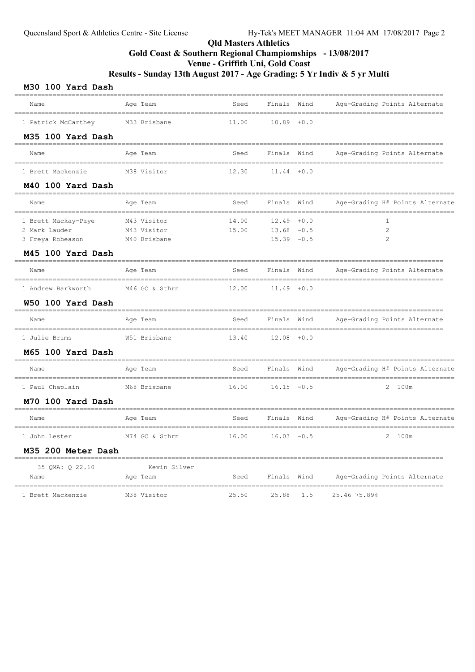### Qld Masters Athletics Gold Coast & Southern Regional Champiomships - 13/08/2017 Venue - Griffith Uni, Gold Coast

Results - Sunday 13th August 2017 - Age Grading: 5 Yr Indiv & 5 yr Multi

### M30 100 Yard Dash

| Name                    | Age Team<br>________________________             | Seed  | Finals Wind   |     | Age-Grading Points Alternate    |
|-------------------------|--------------------------------------------------|-------|---------------|-----|---------------------------------|
| 1 Patrick McCarthey     | M33 Brisbane                                     | 11.00 | $10.89 + 0.0$ |     |                                 |
| M35 100 Yard Dash       |                                                  |       |               |     |                                 |
| Name                    | Age Team                                         | Seed  | Finals Wind   |     | Age-Grading Points Alternate    |
| 1 Brett Mackenzie       | M38 Visitor                                      | 12.30 | $11.44 + 0.0$ |     |                                 |
| M40 100 Yard Dash       | ============                                     |       |               |     |                                 |
| Name                    | Age Team                                         | Seed  | Finals Wind   |     | Age-Grading H# Points Alternate |
| 1 Brett Mackay-Paye     | M43 Visitor                                      | 14.00 | $12.49 + 0.0$ |     | 1                               |
| 2 Mark Lauder           | M43 Visitor                                      | 15.00 | $13.68 - 0.5$ |     | 2                               |
| 3 Freya Robeason        | M40 Brisbane                                     |       | $15.39 - 0.5$ |     | $\mathfrak{D}$                  |
| M45 100 Yard Dash       |                                                  |       |               |     |                                 |
| Name                    | Age Team                                         | Seed  | Finals Wind   |     | Age-Grading Points Alternate    |
| 1 Andrew Barkworth      | M46 GC & Sthrn                                   | 12.00 | $11.49 + 0.0$ |     |                                 |
| W50 100 Yard Dash       |                                                  |       |               |     |                                 |
| Name                    | Age Team                                         | Seed  | Finals Wind   |     | Age-Grading Points Alternate    |
| 1 Julie Brims           | W51 Brisbane                                     | 13.40 | $12.08 + 0.0$ |     |                                 |
| M65 100 Yard Dash       |                                                  |       |               |     |                                 |
| Name                    | Age Team                                         | Seed  | Finals Wind   |     | Age-Grading H# Points Alternate |
| 1 Paul Chaplain         | M68 Brisbane                                     | 16.00 | $16.15 - 0.5$ |     | 2 100m                          |
| M70 100 Yard Dash       | ----------------                                 |       |               |     |                                 |
| Name                    | Age Team                                         | Seed  | Finals Wind   |     | Age-Grading H# Points Alternate |
| 1 John Lester           | M74 GC & Sthrn                                   | 16.00 | $16.03 - 0.5$ |     | 2 100m                          |
| M35 200 Meter Dash      |                                                  |       |               |     |                                 |
| 35 QMA: Q 22.10<br>Name | ____________________<br>Kevin Silver<br>Age Team | Seed  | Finals Wind   |     | Age-Grading Points Alternate    |
| 1 Brett Mackenzie       | M38 Visitor                                      | 25.50 | 25.88         | 1.5 | 25.46 75.89%                    |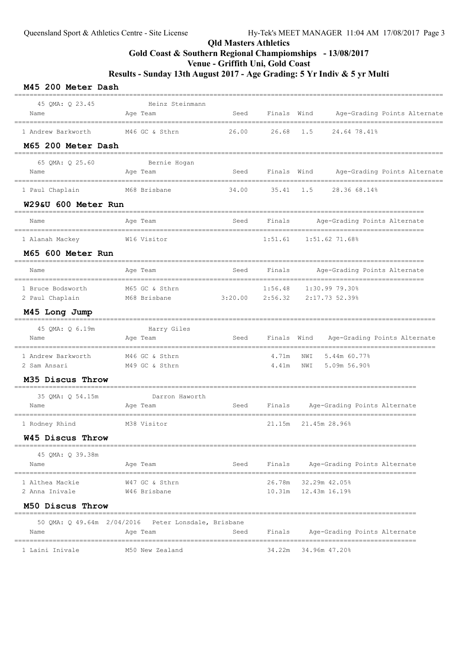# Qld Masters Athletics Gold Coast & Southern Regional Champiomships - 13/08/2017

Venue - Griffith Uni, Gold Coast

Results - Sunday 13th August 2017 - Age Grading: 5 Yr Indiv & 5 yr Multi

|  | M45 200 Meter Dash |  |
|--|--------------------|--|
|  |                    |  |

| 45 QMA: Q 23.45<br>Name                  | Heinz Steinmann<br>Age Team                         | Seed        |             | Finals Wind<br>Age-Grading Points Alternate<br>_____________________ |
|------------------------------------------|-----------------------------------------------------|-------------|-------------|----------------------------------------------------------------------|
| 1 Andrew Barkworth<br>M65 200 Meter Dash | -----------------------<br>M46 GC & Sthrn           | 26.00 26.68 |             | 1.5<br>24.64 78.41%                                                  |
|                                          |                                                     |             |             |                                                                      |
| 65 QMA: Q 25.60<br>Name                  | Bernie Hogan<br>Age Team                            | Seed        |             | Finals Wind Age-Grading Points Alternate<br>==============           |
| 1 Paul Chaplain                          | M68 Brisbane                                        | 34.00       |             | 35.41 1.5 28.36 68.14%                                               |
| W29&U 600 Meter Run                      |                                                     |             |             |                                                                      |
| Name                                     | Age Team                                            | Seed        |             | Finals Mage-Grading Points Alternate                                 |
| 1 Alanah Mackey                          | W16 Visitor                                         |             |             | $1:51.61$ $1:51.62$ $71.68%$                                         |
| M65 600 Meter Run                        |                                                     |             |             |                                                                      |
| Name                                     | Age Team                                            | Seed        | Finals      | Age-Grading Points Alternate                                         |
| 1 Bruce Bodsworth<br>2 Paul Chaplain     | M65 GC & Sthrn<br>M68 Brisbane                      |             | 1:56.48     | 1:30.99 79.30%<br>$3:20.00$ $2:56.32$ $2:17.73$ 52.39%               |
| M45 Long Jump                            |                                                     |             |             |                                                                      |
| 45 QMA: Q 6.19m                          | Harry Giles                                         |             |             |                                                                      |
| Name                                     | Aqe Team                                            | Seed        | Finals Wind | Age-Grading Points Alternate                                         |
| 1 Andrew Barkworth                       | M46 GC & Sthrn                                      |             | 4.71m       | 5.44m 60.77%<br>NWI                                                  |
| 2 Sam Ansari                             | M49 GC & Sthrn                                      |             | 4.41m       | 5.09m 56.90%<br>NWI                                                  |
| M35 Discus Throw                         |                                                     |             |             |                                                                      |
| 35 QMA: Q 54.15m                         | Darron Haworth                                      |             |             |                                                                      |
| Name                                     | Age Team                                            | Seed        | Finals      | Age-Grading Points Alternate                                         |
| 1 Rodney Rhind                           | M38 Visitor                                         |             |             | 21.15m 21.45m 28.96%                                                 |
| W45 Discus Throw                         |                                                     |             |             | _________________________________                                    |
| 45 QMA: Q 39.38m                         |                                                     |             |             |                                                                      |
| Name                                     | Age Team                                            | Seed        | Finals      | Age-Grading Points Alternate                                         |
| 1 Althea Mackie                          | W47 GC & Sthrn                                      |             | 26.78m      | 32.29m 42.05%                                                        |
| 2 Anna Inivale                           | W46 Brisbane                                        |             | 10.31m      | 12.43m 16.19%                                                        |
| M50 Discus Throw                         |                                                     |             |             |                                                                      |
|                                          | 50 OMA: 0 49.64m 2/04/2016 Peter Lonsdale, Brisbane |             |             |                                                                      |
| Name                                     | Age Team                                            | Seed        | Finals      | Age-Grading Points Alternate                                         |
| 1 Laini Inivale                          | M50 New Zealand                                     |             | 34.22m      | 34.96m 47.20%                                                        |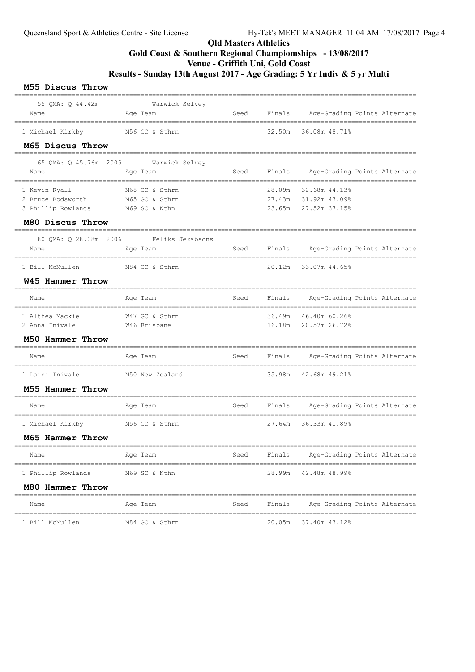# Qld Masters Athletics Gold Coast & Southern Regional Champiomships - 13/08/2017 Venue - Griffith Uni, Gold Coast

Results - Sunday 13th August 2017 - Age Grading: 5 Yr Indiv & 5 yr Multi

#### M55 Discus Throw

| 55 QMA: Q 44.42m<br>Name                        | Warwick Selvey<br>Age Team             | Seed | Finals | Age-Grading Points Alternate               |               |  |
|-------------------------------------------------|----------------------------------------|------|--------|--------------------------------------------|---------------|--|
|                                                 |                                        |      |        |                                            |               |  |
| 1 Michael Kirkby                                | M56 GC & Sthrn                         |      | 32.50m | 36.08m 48.71%                              |               |  |
| M65 Discus Throw                                |                                        |      |        |                                            |               |  |
|                                                 | 65 QMA: Q 45.76m 2005 Warwick Selvey   |      |        |                                            |               |  |
| Name                                            | Age Team<br>=============              | Seed |        | Finals Age-Grading Points Alternate        |               |  |
| 1 Kevin Ryall                                   | M68 GC & Sthrn                         |      | 28.09m | 32.68m 44.13%                              |               |  |
| 2 Bruce Bodsworth                               | M65 GC & Sthrn                         |      | 27.43m | 31.92m 43.09%                              |               |  |
| 3 Phillip Rowlands M69 SC & Nthn                |                                        |      | 23.65m | 27.52m 37.15%                              |               |  |
| M80 Discus Throw                                |                                        |      |        |                                            |               |  |
|                                                 | 80 OMA: 0 28.08m 2006 Feliks Jekabsons |      |        |                                            |               |  |
| Name<br>---------------<br>-------------------- | Age Team                               |      |        | Seed Finals Age-Grading Points Alternate   |               |  |
| 1 Bill McMullen                                 | M84 GC & Sthrn                         |      |        | 20.12m 33.07m 44.65%                       |               |  |
| W45 Hammer Throw                                |                                        |      |        |                                            |               |  |
| Name                                            | Age Team                               | Seed | Finals | Age-Grading Points Alternate               |               |  |
| 1 Althea Mackie                                 | W47 GC & Sthrn                         |      |        | 36.49m 46.40m 60.26%                       |               |  |
| 2 Anna Inivale                                  | W46 Brisbane                           |      | 16.18m | 20.57m 26.72%                              |               |  |
| M50 Hammer Throw                                |                                        |      |        |                                            |               |  |
| Name                                            | Age Team                               | Seed | Finals | Age-Grading Points Alternate               |               |  |
| 1 Laini Inivale                                 | M50 New Zealand                        |      | 35.98m | 42.68m 49.21%                              |               |  |
| M55 Hammer Throw                                |                                        |      |        |                                            |               |  |
| Name                                            | Age Team                               | Seed | Finals | Age-Grading Points Alternate               | ------------- |  |
| 1 Michael Kirkby M56 GC & Sthrn                 |                                        |      | 27.64m | ------------------------<br>36.33m 41.89%  |               |  |
| M65 Hammer Throw                                |                                        |      |        |                                            |               |  |
| Name                                            | Age Team                               | Seed | Finals | Age-Grading Points Alternate               |               |  |
| 1 Phillip Rowlands                              | M69 SC & Nthn                          |      | 28.99m | -------------------------<br>42.48m 48.99% |               |  |
| M80 Hammer Throw                                |                                        |      |        |                                            |               |  |
| Name                                            | Age Team                               | Seed | Finals | Age-Grading Points Alternate               |               |  |
| 1 Bill McMullen                                 | M84 GC & Sthrn                         |      | 20.05m | 37.40m 43.12%                              |               |  |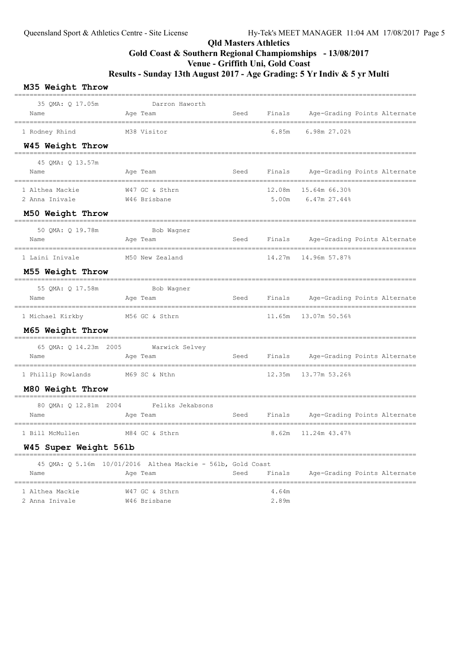# Qld Masters Athletics Gold Coast & Southern Regional Champiomships - 13/08/2017 Venue - Griffith Uni, Gold Coast Results - Sunday 13th August 2017 - Age Grading: 5 Yr Indiv & 5 yr Multi

### M35 Weight Throw

| ___________________<br>35 QMA: Q 17.05m<br>Name       | Darron Haworth<br>Age Team                                              | Seed | Finals          | Age-Grading Points Alternate               |  |
|-------------------------------------------------------|-------------------------------------------------------------------------|------|-----------------|--------------------------------------------|--|
| 1 Rodney Rhind                                        | M38 Visitor                                                             |      | 6.85m           | ==========================<br>6.98m 27.02% |  |
| W45 Weight Throw                                      |                                                                         |      |                 |                                            |  |
| 45 QMA: Q 13.57m<br>Name                              | Age Team                                                                | Seed | Finals          | Age-Grading Points Alternate               |  |
| 1 Althea Mackie<br>2 Anna Inivale<br>M50 Weight Throw | W47 GC & Sthrn<br>W46 Brisbane                                          |      | 12.08m<br>5.00m | 15.64m 66.30%<br>6.47m 27.44%              |  |
| 50 QMA: Q 19.78m<br>Name                              | Bob Wagner<br>Age Team                                                  |      |                 | Seed Finals Age-Grading Points Alternate   |  |
| 1 Laini Inivale<br>M55 Weight Throw                   | M50 New Zealand                                                         |      | 14.27m          | 14.96m 57.87%                              |  |
| 55 QMA: Q 17.58m<br>Name                              | ---------------<br>Bob Wagner<br>Age Team                               |      | Seed Finals     | Age-Grading Points Alternate               |  |
| 1 Michael Kirkby<br>M65 Weight Throw                  | M56 GC & Sthrn                                                          |      | 11.65m          | 13.07m 50.56%                              |  |
| Name                                                  | 65 QMA: Q 14.23m 2005 Warwick Selvey<br>Age Team                        | Seed | Finals          | Age-Grading Points Alternate               |  |
| 1 Phillip Rowlands M69 SC & Nthn<br>M80 Weight Throw  |                                                                         |      | 12.35m          | 13.77m 53.26%                              |  |
| 80 QMA: Q 12.81m 2004<br>Name                         | Feliks Jekabsons<br>Age Team                                            | Seed | Finals          | Age-Grading Points Alternate               |  |
| 1 Bill McMullen                                       | M84 GC & Sthrn                                                          |      | 8.62m           | 11.24m 43.47%                              |  |
| W45 Super Weight 561b                                 |                                                                         |      |                 |                                            |  |
| Name                                                  | 45 QMA: Q 5.16m 10/01/2016 Althea Mackie - 561b, Gold Coast<br>Age Team |      |                 | Seed Finals Age-Grading Points Alternate   |  |
| 1 Althea Mackie<br>2 Anna Inivale                     | W47 GC & Sthrn<br>W46 Brisbane                                          |      | 4.64m<br>2.89m  |                                            |  |